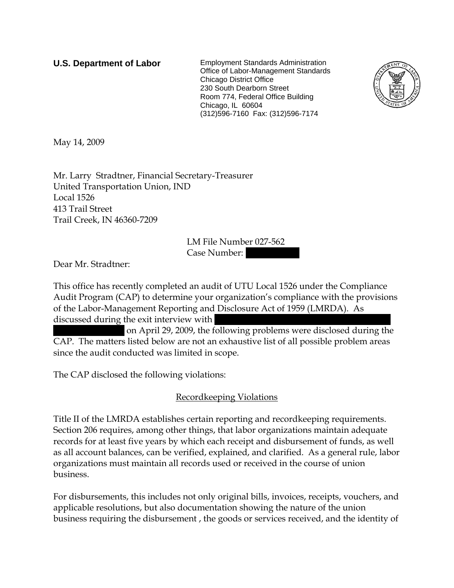**U.S. Department of Labor** Employment Standards Administration Office of Labor-Management Standards Chicago District Office 230 South Dearborn Street Room 774, Federal Office Building Chicago, IL 60604 (312)596-7160 Fax: (312)596-7174



May 14, 2009

Mr. Larry Stradtner, Financial Secretary-Treasurer United Transportation Union, IND Local 1526 413 Trail Street Trail Creek, IN 46360-7209

> LM File Number 027-562 Case Number: ||||||||||

Dear Mr. Stradtner:

This office has recently completed an audit of UTU Local 1526 under the Compliance Audit Program (CAP) to determine your organization's compliance with the provisions of the Labor-Management Reporting and Disclosure Act of 1959 (LMRDA). As discussed during the exit interview with

on April 29, 2009, the following problems were disclosed during the CAP. The matters listed below are not an exhaustive list of all possible problem areas since the audit conducted was limited in scope.

The CAP disclosed the following violations:

Recordkeeping Violations

Title II of the LMRDA establishes certain reporting and recordkeeping requirements. Section 206 requires, among other things, that labor organizations maintain adequate records for at least five years by which each receipt and disbursement of funds, as well as all account balances, can be verified, explained, and clarified. As a general rule, labor organizations must maintain all records used or received in the course of union business.

For disbursements, this includes not only original bills, invoices, receipts, vouchers, and applicable resolutions, but also documentation showing the nature of the union business requiring the disbursement , the goods or services received, and the identity of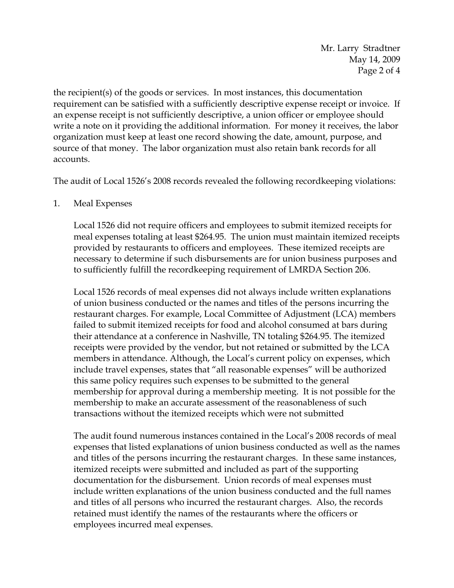Mr. Larry Stradtner May 14, 2009 Page 2 of 4

the recipient(s) of the goods or services. In most instances, this documentation requirement can be satisfied with a sufficiently descriptive expense receipt or invoice. If an expense receipt is not sufficiently descriptive, a union officer or employee should write a note on it providing the additional information. For money it receives, the labor organization must keep at least one record showing the date, amount, purpose, and source of that money. The labor organization must also retain bank records for all accounts.

The audit of Local 1526's 2008 records revealed the following recordkeeping violations:

## 1. Meal Expenses

Local 1526 did not require officers and employees to submit itemized receipts for meal expenses totaling at least \$264.95. The union must maintain itemized receipts provided by restaurants to officers and employees. These itemized receipts are necessary to determine if such disbursements are for union business purposes and to sufficiently fulfill the recordkeeping requirement of LMRDA Section 206.

Local 1526 records of meal expenses did not always include written explanations of union business conducted or the names and titles of the persons incurring the restaurant charges. For example, Local Committee of Adjustment (LCA) members failed to submit itemized receipts for food and alcohol consumed at bars during their attendance at a conference in Nashville, TN totaling \$264.95. The itemized receipts were provided by the vendor, but not retained or submitted by the LCA members in attendance. Although, the Local's current policy on expenses, which include travel expenses, states that "all reasonable expenses" will be authorized this same policy requires such expenses to be submitted to the general membership for approval during a membership meeting. It is not possible for the membership to make an accurate assessment of the reasonableness of such transactions without the itemized receipts which were not submitted

The audit found numerous instances contained in the Local's 2008 records of meal expenses that listed explanations of union business conducted as well as the names and titles of the persons incurring the restaurant charges. In these same instances, itemized receipts were submitted and included as part of the supporting documentation for the disbursement. Union records of meal expenses must include written explanations of the union business conducted and the full names and titles of all persons who incurred the restaurant charges. Also, the records retained must identify the names of the restaurants where the officers or employees incurred meal expenses.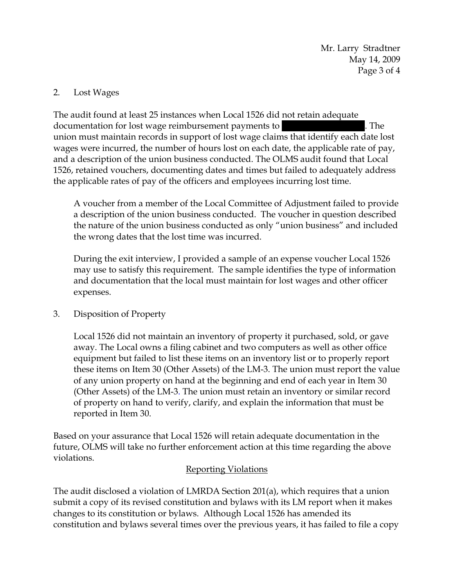Mr. Larry Stradtner May 14, 2009 Page 3 of 4

### 2. Lost Wages

The audit found at least 25 instances when Local 1526 did not retain adequate documentation for lost wage reimbursement payments to  $\blacksquare$ . The union must maintain records in support of lost wage claims that identify each date lost wages were incurred, the number of hours lost on each date, the applicable rate of pay, and a description of the union business conducted. The OLMS audit found that Local 1526, retained vouchers, documenting dates and times but failed to adequately address the applicable rates of pay of the officers and employees incurring lost time.

A voucher from a member of the Local Committee of Adjustment failed to provide a description of the union business conducted. The voucher in question described the nature of the union business conducted as only "union business" and included the wrong dates that the lost time was incurred.

During the exit interview, I provided a sample of an expense voucher Local 1526 may use to satisfy this requirement. The sample identifies the type of information and documentation that the local must maintain for lost wages and other officer expenses.

3. Disposition of Property

Local 1526 did not maintain an inventory of property it purchased, sold, or gave away. The Local owns a filing cabinet and two computers as well as other office equipment but failed to list these items on an inventory list or to properly report these items on Item 30 (Other Assets) of the LM-3. The union must report the value of any union property on hand at the beginning and end of each year in Item 30 (Other Assets) of the LM-3. The union must retain an inventory or similar record of property on hand to verify, clarify, and explain the information that must be reported in Item 30.

Based on your assurance that Local 1526 will retain adequate documentation in the future, OLMS will take no further enforcement action at this time regarding the above violations.

#### Reporting Violations

The audit disclosed a violation of LMRDA Section 201(a), which requires that a union submit a copy of its revised constitution and bylaws with its LM report when it makes changes to its constitution or bylaws. Although Local 1526 has amended its constitution and bylaws several times over the previous years, it has failed to file a copy